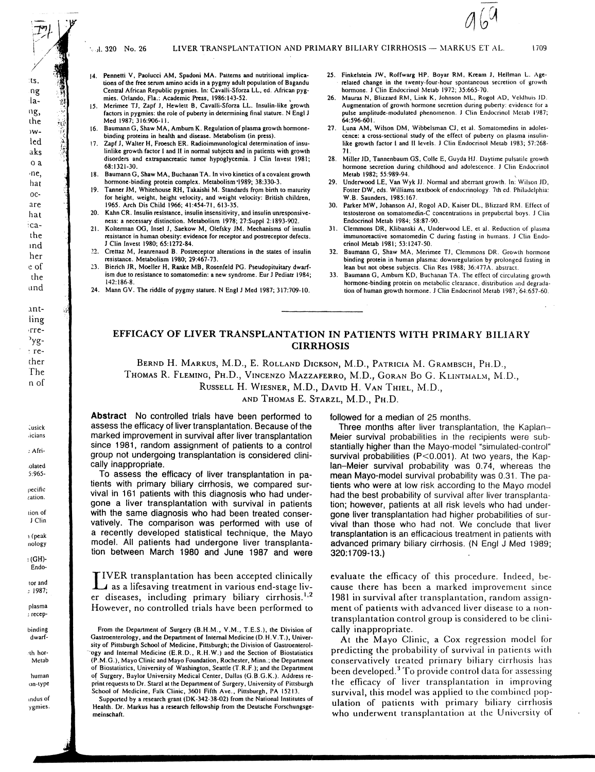J. 320 No. 26

- 14. Pennetti V, Paolucci AM, Spadoni MA. Patterns and nutritional implications of the free serum amino acids in a pygmy adult population of Bagandu Central African Republic pygmies. In: Cavalli-Sforza LL, ed. African pygmies. Orlando, Fla.: Academic Press, 1986:143-52.
- 15. Merimee TJ, Zapf J, Hewlett B, Cavalli-Sforza LL. Insulin-like growth factors in pygmies: the role of puberty in determining final stature. N Engl J Med 1987; 316:906-11.
- Baumann G, Shaw MA, Amburn K. Regulation of plasma growth hormonebinding proteins in health and disease. Metabolism (in press)
- $17$ Zapf J, Walter H, Froesch ER. Radioimmunological determination of insulinlike growth factor I and II in normal subjects and in patients with growth disorders and extrapancreatic tumor hypoglycemia. J Clin Invest 1981; 68:1321-30
- 18. Baumann G, Shaw MA, Buchanan TA. In vivo kinetics of a covalent growth hormone-binding protein complex. Metabolism 1989; 38:330-3.
- 19. Tanner JM, Whitehouse RH, Takaishi M. Standards from birth to maturity for height, weight, height velocity, and weight velocity: British children, 1965. Arch Dis Child 1966; 41:454-71, 613-35.
- 20. Kahn CR. Insulin resistance, insulin insensitivity, and insulin unresponsiveness: a necessary distinction. Metabolism 1978; 27:Suppl 2:1893-902.
- Kolterman OG, Insel J, Saekow M, Olefsky JM. Mechanisms of insulin  $21.$ resistance in human obesity: evidence for receptor and postreceptor defects. J Clin Invest 1980; 65:1272-84.
- Crettaz M, Jeanrenaud B. Postreceptor alterations in the states of insulin  $22.$ resistance. Metabolism 1980; 29:467-73.
- $23$ Bierich JR, Moeller H, Ranke MB, Rosenfeld PG. Pseudopituitary dwarfism due to resistance to somatomedin: a new syndrome. Eur J Pediatr 1984; 142:186-8
- 24. Mann GV. The riddle of pygmy stature. N Engl J Med 1987; 317:709-10.
- 25. Finkelstein JW, Roffwarg HP, Boyar RM, Kream J, Hellman L. Agerelated change in the twenty-four-hour spontaneous secretion of growth hormone. J Clin Endocrinol Metab 1972; 35:665-70.
- Mauras N, Blizzard RM, Link K, Johnson ML, Rogol AD, Veldhuis JD. Augmentation of growth hormone secretion during puberty: evidence for a pulse amplitude-modulated phenomenon. J Clin Endocrinol Metab 1987; 64:596-601.
- Luna AM, Wilson DM, Wibbelsman CJ, et al. Somatomedins in adoles- $27<sub>1</sub>$ cence: a cross-sectional study of the effect of puberty on plasma insulinlike growth factor I and II levels. J Clin Endocrinol Metab 1983; 57:268-
- 28. Miller JD, Tannenbaum GS, Colle E, Guyda HJ. Daytime pulsatile growth hormone secretion during childhood and adolescence. J Clin Endocrinol Metab 1982: 55:989-94.
- 29. Underwood LE, Van Wyk JJ. Normal and aberrant growth. In: Wilson JD, Foster DW, eds. Williams textbook of endocrinology. 7th ed. Philadelphia: W.B. Saunders, 1985:167.
- Parker MW, Johanson AJ, Rogol AD, Kaiser DL, Blizzard RM. Effect of 30. testosterone on somatomedin-C concentrations in prepubertal boys. J Clin Endocrinol Metab 1984; 58:87-90.
- $31.$ Clemmons DR, Klibanski A, Underwood LE, et al. Reduction of plasma immunoreactive somatomedin C during fasting in humans. J Clin Endocrinol Metab 1981; 53:1247-50.
- Baumann G, Shaw MA, Merimee TJ, Clemmons DR. Growth hormone 32. binding protein in human plasma: downregulation by prolonged fasting in lean but not obese subjects. Clin Res 1988; 36:477A. abstract.
- Baumann G, Amburn KD, Buchanan TA. The effect of circulating growth 33. hormone-binding protein on metabolic clearance, distribution and degradation of human growth hormone. J Clin Endocrinol Metab 1987; 64:657-60.

# EFFICACY OF LIVER TRANSPLANTATION IN PATIENTS WITH PRIMARY BILIARY **CIRRHOSIS**

BERND H. MARKUS, M.D., E. ROLLAND DICKSON, M.D., PATRICIA M. GRAMBSCH, PH.D.,

THOMAS R. FLEMING, PH.D., VINCENZO MAZZAFERRO, M.D., GORAN BO G. KLINTMALM, M.D.,

RUSSELL H. WIESNER, M.D., DAVID H. VAN THIEL, M.D.,

AND THOMAS E. STARZL, M.D., PH.D.

Abstract No controlled trials have been performed to assess the efficacy of liver transplantation. Because of the marked improvement in survival after liver transplantation since 1981, random assignment of patients to a control group not undergoing transplantation is considered clinically inappropriate.

To assess the efficacy of liver transplantation in patients with primary biliary cirrhosis, we compared survival in 161 patients with this diagnosis who had undergone a liver transplantation with survival in patients with the same diagnosis who had been treated conservatively. The comparison was performed with use of a recently developed statistical technique, the Mayo model. All patients had undergone liver transplantation between March 1980 and June 1987 and were

IVER transplantation has been accepted clinically as a lifesaving treatment in various end-stage liver diseases, including primary biliary cirrhosis.<sup>1,2</sup> However, no controlled trials have been performed to

Supported by a research grant (DK-342-38-02) from the National Institutes of Health. Dr. Markus has a research fellowship from the Deutsche Forschungsgemeinschaft.

followed for a median of 25 months.

Three months after liver transplantation, the Kaplan-Meier survival probabilities in the recipients were substantially higher than the Mayo-model "simulated-control" survival probabilities (P<0.001). At two years, the Kaplan-Meier survival probability was 0.74, whereas the mean Mayo-model survival probability was 0.31. The patients who were at low risk according to the Mayo model had the best probability of survival after liver transplantation; however, patients at all risk levels who had undergone liver transplantation had higher probabilities of survival than those who had not. We conclude that liver transplantation is an efficacious treatment in patients with advanced primary biliary cirrhosis. (N Engl J Med 1989; 320:1709-13.)

evaluate the efficacy of this procedure. Indeed, because there has been a marked improvement since 1981 in survival after transplantation, random assignment of patients with advanced liver disease to a nontransplantation control group is considered to be clinically inappropriate.

At the Mayo Clinic, a Cox regression model for predicting the probability of survival in patients with conservatively treated primary biliary cirrhosis has been developed.<sup>3</sup> To provide control data for assessing the efficacy of liver transplantation in improving survival, this model was applied to the combined population of patients with primary biliary cirrhosis who underwent transplantation at the University of

ίý

 $:$  (GH)-Endo-

tor and  $: 1987;$ 

plasma : recep-

binding dwarf-

ith hor-Metab

human

on-type indus of ygmies.

From the Department of Surgery (B.H.M., V.M., T.E.S.), the Division of Gastroenterology, and the Department of Internal Medicine (D. H.V.T.), University of Pittsburgh School of Medicine, Pittsburgh; the Division of Gastroenterology and Internal Medicine (E.R.D., R.H.W.) and the Section of Biostatistics (P.M.G.), Mayo Clinic and Mayo Foundation, Rochester, Minn.; the Department of Biostatistics, University of Washington, Seattle (T.R.F.); and the Department of Surgery, Baylor University Medical Center, Dallas (G.B.G.K.). Address reprint requests to Dr. Starzl at the Department of Surgery, University of Pittsburgh School of Medicine, Falk Clinic, 3601 Fifth Ave., Pittsburgh, PA 15213.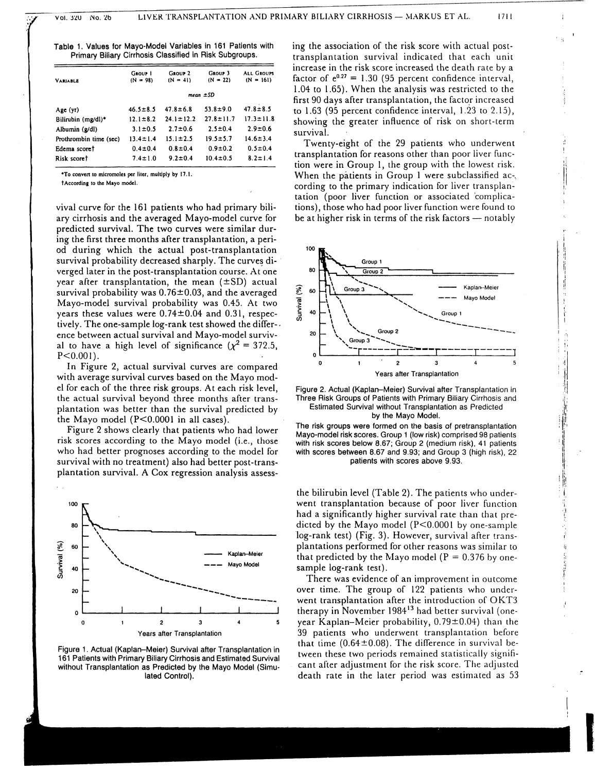Table 1. Values for Mayo-Model Variables in 161 Patients with Primary Billary Cirrhosis Classified in Risk Subgroups.

| <b>VARIABLE</b>        | GROUP 1<br>$(N = 98)$ | GROUP <sub>2</sub><br>$(N = 41)$ | GROUP <sub>3</sub><br>$(N = 22)$ | <b>ALL GROUPS</b><br>$(N = 161)$ |
|------------------------|-----------------------|----------------------------------|----------------------------------|----------------------------------|
|                        | mean $\pm SD$         |                                  |                                  |                                  |
| Age (yr)               | $46.5 \pm 8.5$        | $47.8 \pm 6.8$                   | $53.8 \pm 9.0$                   | $47.8 \pm 8.5$                   |
| Bilirubin (mg/dl)*     | $12.1 \pm 8.2$        | $24.1 \pm 12.2$                  | $27.8 \pm 11.7$                  | $17.3 \pm 11.8$                  |
| Albumin (g/dl)         | $3.1 \pm 0.5$         | $2.7 \pm 0.6$                    | $2.5 \pm 0.4$                    | $2.9 \pm 0.6$                    |
| Prothrombin time (sec) | $13.4 \pm 1.4$        | $15.1 \pm 2.5$                   | $19.5 \pm 5.7$                   | $14.6 \pm 3.4$                   |
| Edema scoret           | $0.4 \pm 0.4$         | $0.8 \pm 0.4$                    | $0.9 \pm 0.2$                    | $0.5 \pm 0.4$                    |
| Risk scoret            | $7.4 \pm 1.0$         | $9.2 \pm 0.4$                    | $10.4 \pm 0.5$                   | $8.2 \pm 1.4$                    |
|                        |                       |                                  |                                  |                                  |

\*To convert to micromoles per liter, multiply by 17.1.

†According to the Mayo model.

vival curve for the 161 patients who had primary biliary cirrhosis and the averaged Mayo-model curve for predicted survival. The two curves were similar during the first three months after transplantation, a period during which the actual post-transplantation survival probability decreased sharply. The curves diverged later in the post-transplantation course. At one year after transplantation, the mean  $(\pm SD)$  actual survival probability was  $0.76 \pm 0.03$ , and the averaged Mayo-model survival probability was 0.45. At two years these values were  $0.74 \pm 0.04$  and 0.31, respectively. The one-sample log-rank test showed the difference between actual survival and Mayo-model survival to have a high level of significance ( $\chi^2 = 372.5$ ,  $P < 0.001$ ).

In Figure 2, actual survival curves are compared with average survival curves based on the Mayo model for each of the three risk groups. At each risk level, the actual survival beyond three months after transplantation was better than the survival predicted by the Mayo model  $(P<0.0001$  in all cases).

Figure 2 shows clearly that patients who had lower risk scores according to the Mayo model (i.e., those who had better prognoses according to the model for survival with no treatment) also had better post-transplantation survival. A Cox regression analysis assess-



Figure 1. Actual (Kaplan-Meier) Survival after Transplantation in 161 Patients with Primary Biliary Cirrhosis and Estimated Survival without Transplantation as Predicted by the Mayo Model (Simulated Control).

ing the association of the risk score with actual posttransplantation survival indicated that each unit increase in the risk score increased the death rate by a factor of  $e^{0.27} = 1.30$  (95 percent confidence interval, 1.04 to 1.65). When the analysis was restricted to the first 90 days after transplantation, the factor increased to 1.63 (95 percent confidence interval, 1.23 to 2.15), showing the greater influence of risk on short-term survival.

Twenty-eight of the 29 patients who underwent transplantation for reasons other than poor liver function were in Group 1, the group with the lowest risk. When the patients in Group 1 were subclassified ac-, cording to the primary indication for liver transplantation (poor liver function or associated complications), those who had poor liver function were found to be at higher risk in terms of the risk factors - notably





The risk groups were formed on the basis of pretransplantation Mayo-model risk scores. Group 1 (low risk) comprised 98 patients with risk scores below 8.67; Group 2 (medium risk), 41 patients with scores between 8.67 and 9.93; and Group 3 (high risk), 22 patients with scores above 9.93.

the bilirubin level (Table 2). The patients who underwent transplantation because of poor liver function had a significantly higher survival rate than that predicted by the Mayo model  $(P<0.0001$  by one-sample log-rank test) (Fig. 3). However, survival after transplantations performed for other reasons was similar to that predicted by the Mayo model ( $P = 0.376$  by onesample log-rank test).

There was evidence of an improvement in outcome over time. The group of 122 patients who underwent transplantation after the introduction of OKT3 therapy in November 1984<sup>13</sup> had better survival (oneyear Kaplan-Meier probability, 0.79±0.04) than the 39 patients who underwent transplantation before that time  $(0.64 \pm 0.08)$ . The difference in survival between these two periods remained statistically significant after adjustment for the risk score. The adjusted death rate in the later period was estimated as 53